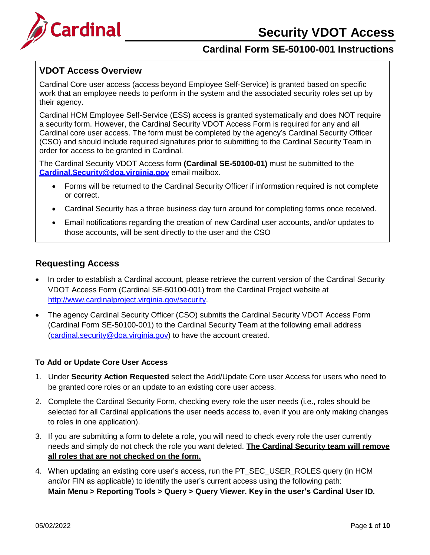# **Security VDOT Access**



# **Cardinal Form SE-50100-001 Instructions**

### **VDOT Access Overview**

Cardinal Core user access (access beyond Employee Self-Service) is granted based on specific work that an employee needs to perform in the system and the associated security roles set up by their agency.

Cardinal HCM Employee Self-Service (ESS) access is granted systematically and does NOT require a security form. However, the Cardinal Security VDOT Access Form is required for any and all Cardinal core user access. The form must be completed by the agency's Cardinal Security Officer (CSO) and should include required signatures prior to submitting to the Cardinal Security Team in order for access to be granted in Cardinal.

The Cardinal Security VDOT Access form **(Cardinal SE-50100-01)** must be submitted to the **[Cardinal.Security@doa.virginia.gov](mailto:Cardinal.Security@doa.virginia.gov)** email mailbox.

- Forms will be returned to the Cardinal Security Officer if information required is not complete or correct.
- Cardinal Security has a three business day turn around for completing forms once received.
- Email notifications regarding the creation of new Cardinal user accounts, and/or updates to those accounts, will be sent directly to the user and the CSO

### **Requesting Access**

- In order to establish a Cardinal account, please retrieve the current version of the Cardinal Security VDOT Access Form (Cardinal SE-50100-001) from the Cardinal Project website at [http://www.cardinalproject.virginia.gov/security.](http://www.cardinalproject.virginia.gov/security)
- The agency Cardinal Security Officer (CSO) submits the Cardinal Security VDOT Access Form (Cardinal Form SE-50100-001) to the Cardinal Security Team at the following email address [\(cardinal.security@doa.virginia.gov\)](mailto:cardinal.security@doa.virginia.gov) to have the account created.

### **To Add or Update Core User Access**

- 1. Under **Security Action Requested** select the Add/Update Core user Access for users who need to be granted core roles or an update to an existing core user access.
- 2. Complete the Cardinal Security Form, checking every role the user needs (i.e., roles should be selected for all Cardinal applications the user needs access to, even if you are only making changes to roles in one application).
- 3. If you are submitting a form to delete a role, you will need to check every role the user currently needs and simply do not check the role you want deleted. **The Cardinal Security team will remove all roles that are not checked on the form.**
- 4. When updating an existing core user's access, run the PT\_SEC\_USER\_ROLES query (in HCM and/or FIN as applicable) to identify the user's current access using the following path: **Main Menu > Reporting Tools > Query > Query Viewer. Key in the user's Cardinal User ID.**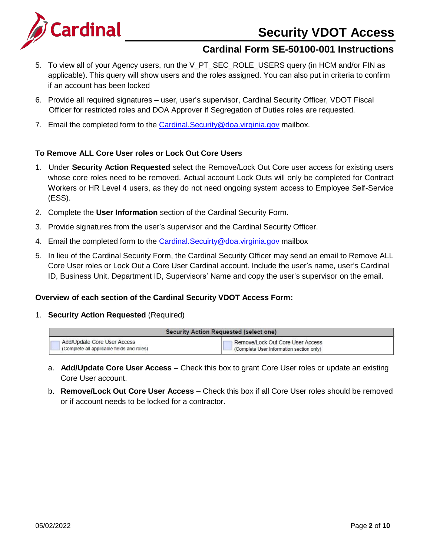# **Security VDOT Access**



# **Cardinal Form SE-50100-001 Instructions**

- 5. To view all of your Agency users, run the V\_PT\_SEC\_ROLE\_USERS query (in HCM and/or FIN as applicable). This query will show users and the roles assigned. You can also put in criteria to confirm if an account has been locked
- 6. Provide all required signatures user, user's supervisor, Cardinal Security Officer, VDOT Fiscal Officer for restricted roles and DOA Approver if Segregation of Duties roles are requested.
- 7. Email the completed form to the [Cardinal.Security@doa.virginia.gov](mailto:Cardinal.Security@doa.virginia.gov) mailbox.

### **To Remove ALL Core User roles or Lock Out Core Users**

- 1. Under **Security Action Requested** select the Remove/Lock Out Core user access for existing users whose core roles need to be removed. Actual account Lock Outs will only be completed for Contract Workers or HR Level 4 users, as they do not need ongoing system access to Employee Self-Service (ESS).
- 2. Complete the **User Information** section of the Cardinal Security Form.
- 3. Provide signatures from the user's supervisor and the Cardinal Security Officer.
- 4. Email the completed form to the Cardinal. Secuirty@doa.virginia.gov mailbox
- 5. In lieu of the Cardinal Security Form, the Cardinal Security Officer may send an email to Remove ALL Core User roles or Lock Out a Core User Cardinal account. Include the user's name, user's Cardinal ID, Business Unit, Department ID, Supervisors' Name and copy the user's supervisor on the email.

### **Overview of each section of the Cardinal Security VDOT Access Form:**

1. **Security Action Requested** (Required)

| <b>Security Action Requested (select one)</b>           |                                          |  |  |
|---------------------------------------------------------|------------------------------------------|--|--|
| Add/Update Core User Access                             | Remove/Lock Out Core User Access         |  |  |
| <sup>1</sup> (Complete all applicable fields and roles) | (Complete User Information section only) |  |  |

- a. **Add/Update Core User Access –** Check this box to grant Core User roles or update an existing Core User account.
- b. **Remove/Lock Out Core User Access –** Check this box if all Core User roles should be removed or if account needs to be locked for a contractor.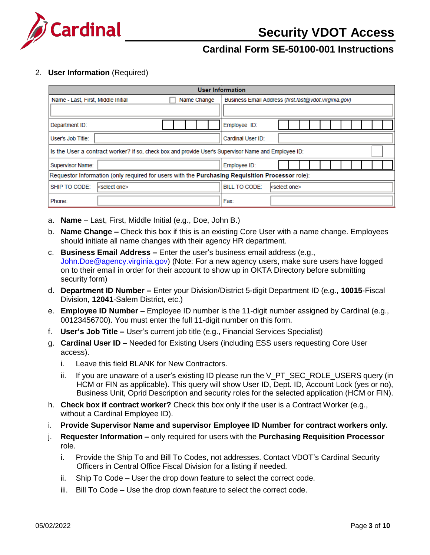

### 2. **User Information** (Required)

| <b>User Information</b>                                                                             |                                                                                                 |  |  |  |  |
|-----------------------------------------------------------------------------------------------------|-------------------------------------------------------------------------------------------------|--|--|--|--|
| Name - Last, First, Middle Initial<br>Name Change                                                   | Business Email Address (first.last@vdot.virginia.gov)                                           |  |  |  |  |
|                                                                                                     |                                                                                                 |  |  |  |  |
| Department ID:                                                                                      | Employee ID:                                                                                    |  |  |  |  |
| User's Job Title:                                                                                   | Cardinal User ID:                                                                               |  |  |  |  |
| Is the User a contract worker? If so, check box and provide User's Supervisor Name and Employee ID: |                                                                                                 |  |  |  |  |
| <b>Supervisor Name:</b>                                                                             | Employee ID:                                                                                    |  |  |  |  |
|                                                                                                     | Requestor Information (only required for users with the Purchasing Requisition Processor role): |  |  |  |  |
| SHIP TO CODE:<br><select one=""></select>                                                           | <b>BILL TO CODE:</b><br>kselect one>                                                            |  |  |  |  |
| Phone:                                                                                              | Fax:                                                                                            |  |  |  |  |

- a. **Name** Last, First, Middle Initial (e.g., Doe, John B.)
- b. **Name Change –** Check this box if this is an existing Core User with a name change. Employees should initiate all name changes with their agency HR department.
- c. **Business Email Address –** Enter the user's business email address (e.g., [John.Doe@agency.virginia.gov\)](mailto:John.Doe@agency.virginia.gov) (Note: For a new agency users, make sure users have logged on to their email in order for their account to show up in OKTA Directory before submitting security form)
- d. **Department ID Number –** Enter your Division/District 5-digit Department ID (e.g., **10015**-Fiscal Division, **12041**-Salem District, etc.)
- e. **Employee ID Number –** Employee ID number is the 11-digit number assigned by Cardinal (e.g., 00123456700). You must enter the full 11-digit number on this form.
- f. **User's Job Title –** User's current job title (e.g., Financial Services Specialist)
- g. **Cardinal User ID –** Needed for Existing Users (including ESS users requesting Core User access).
	- i. Leave this field BLANK for New Contractors.
	- ii. If you are unaware of a user's existing ID please run the V\_PT\_SEC\_ROLE\_USERS query (in HCM or FIN as applicable). This query will show User ID, Dept. ID, Account Lock (yes or no), Business Unit, Oprid Description and security roles for the selected application (HCM or FIN).
- h. **Check box if contract worker?** Check this box only if the user is a Contract Worker (e.g., without a Cardinal Employee ID).
- i. **Provide Supervisor Name and supervisor Employee ID Number for contract workers only.**
- j. **Requester Information –** only required for users with the **Purchasing Requisition Processor** role.
	- i. Provide the Ship To and Bill To Codes, not addresses. Contact VDOT's Cardinal Security Officers in Central Office Fiscal Division for a listing if needed.
	- ii. Ship To Code User the drop down feature to select the correct code.
	- iii. Bill To Code Use the drop down feature to select the correct code.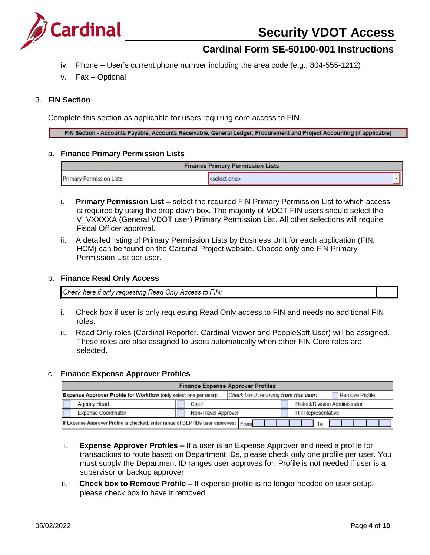

- iv. Phone User's current phone number including the area code (e.g., 804-555-1212)
- v. Fax Optional

#### 3. **FIN Section**

Complete this section as applicable for users requiring core access to FIN.

FIN Section - Accounts Payable, Accounts Receivable, General Ledger, Procurement and Project Accounting (if applicable)

#### a. **Finance Primary Permission Lists**

| <b>Finance Primary Permission Lists</b> |                          |  |
|-----------------------------------------|--------------------------|--|
| <b>Primary Permission Lists:</b>        | <select one=""></select> |  |

- i. **Primary Permission List –** select the required FIN Primary Permission List to which access is required by using the drop down box. The majority of VDOT FIN users should select the V\_VXXXXA (General VDOT user) Primary Permission List. All other selections will require Fiscal Officer approval.
- ii. A detailed listing of Primary Permission Lists by Business Unit for each application (FIN, HCM) can be found on the Cardinal Project website. Choose only one FIN Primary Permission List per user.

#### b. **Finance Read Only Access**

Check here if only requesting Read Only Access to FIN:

- i. Check box if user is only requesting Read Only access to FIN and needs no additional FIN roles.
- ii. Read Only roles (Cardinal Reporter, Cardinal Viewer and PeopleSoft User) will be assigned. These roles are also assigned to users automatically when other FIN Core roles are selected.

#### c. **Finance Expense Approver Profiles**

| <b>Finance Expense Approver Profiles</b>                                                                                     |                                                 |  |  |  |  |  |
|------------------------------------------------------------------------------------------------------------------------------|-------------------------------------------------|--|--|--|--|--|
| Check box if removing from this user:<br>Expense Approver Profile for Workflow (only select one per user):<br>Remove Profile |                                                 |  |  |  |  |  |
| <b>District/Division Administrator</b><br>Chief<br><b>Agency Head</b>                                                        |                                                 |  |  |  |  |  |
| <b>Expense Coordinator</b>                                                                                                   | <b>HR Representative</b><br>Non-Travel Approver |  |  |  |  |  |
| If Expense Approver Profile is checked, enter range of DEPTIDs user approves: From<br>Тο                                     |                                                 |  |  |  |  |  |

- i. **Expense Approver Profiles –** If a user is an Expense Approver and need a profile for transactions to route based on Department IDs, please check only one profile per user. You must supply the Department ID ranges user approves for. Profile is not needed if user is a supervisor or backup approver.
- ii. **Check box to Remove Profile –** If expense profile is no longer needed on user setup, please check box to have it removed.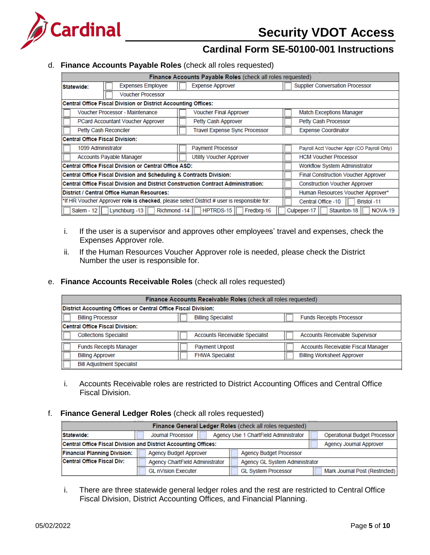

### d. **Finance Accounts Payable Roles** (check all roles requested)

| Finance Accounts Payable Roles (check all roles requested)                                                                |                                                                   |                                             |  |  |  |
|---------------------------------------------------------------------------------------------------------------------------|-------------------------------------------------------------------|---------------------------------------------|--|--|--|
| <b>Expenses Employee</b><br>Statewide:                                                                                    | <b>Expense Approver</b><br><b>Supplier Conversation Processor</b> |                                             |  |  |  |
| <b>Voucher Processor</b>                                                                                                  |                                                                   |                                             |  |  |  |
| Central Office Fiscal Division or District Accounting Offices:                                                            |                                                                   |                                             |  |  |  |
| Voucher Processor - Maintenance                                                                                           | <b>Voucher Final Approver</b>                                     | <b>Match Exceptions Manager</b>             |  |  |  |
| PCard Accountant Voucher Approver                                                                                         | Petty Cash Approver                                               | Petty Cash Processor                        |  |  |  |
| Petty Cash Reconciler                                                                                                     | Travel Expense Sync Processor                                     | <b>Expense Coordinator</b>                  |  |  |  |
| <b>Central Office Fiscal Division:</b>                                                                                    |                                                                   |                                             |  |  |  |
| 1099 Administrator                                                                                                        | <b>Payment Processor</b>                                          | Payroll Acct Voucher Appr (CO Payroll Only) |  |  |  |
| <b>Accounts Payable Manager</b>                                                                                           | <b>HCM Voucher Processor</b>                                      |                                             |  |  |  |
| Central Office Fiscal Division or Central Office ASD:                                                                     |                                                                   | <b>Workflow System Administrator</b>        |  |  |  |
| Central Office Fiscal Division and Scheduling & Contracts Division:                                                       |                                                                   | <b>Final Construction Voucher Approver</b>  |  |  |  |
| Central Office Fiscal Division and District Construction Contract Administration:<br><b>Construction Voucher Approver</b> |                                                                   |                                             |  |  |  |
| District / Central Office Human Resources:                                                                                | Human Resources Voucher Approver*                                 |                                             |  |  |  |
| *If HR Voucher Approver role is checked, please select District # user is responsible for:                                |                                                                   | Central Office -10<br>Bristol -11           |  |  |  |
| Lynchburg -13<br>Richmond -14<br>Salem - $12$                                                                             | HPTRDS-15<br>Fredbrg-16                                           | Staunton-18<br>NOVA-19<br>Culpeper-17       |  |  |  |

- i. If the user is a supervisor and approves other employees' travel and expenses, check the Expenses Approver role.
- ii. If the Human Resources Voucher Approver role is needed, please check the District Number the user is responsible for.

### e. **Finance Accounts Receivable Roles** (check all roles requested)

| Finance Accounts Receivable Roles (check all roles requested) |                                                                |                                       |  |  |  |  |  |  |
|---------------------------------------------------------------|----------------------------------------------------------------|---------------------------------------|--|--|--|--|--|--|
|                                                               | District Accounting Offices or Central Office Fiscal Division: |                                       |  |  |  |  |  |  |
| <b>Billing Processor</b>                                      | <b>Billing Specialist</b>                                      | <b>Funds Receipts Processor</b>       |  |  |  |  |  |  |
| Central Office Fiscal Division:                               |                                                                |                                       |  |  |  |  |  |  |
| <b>Collections Specialist</b>                                 | <b>Accounts Receivable Specialist</b>                          | <b>Accounts Receivable Supervisor</b> |  |  |  |  |  |  |
| <b>Funds Receipts Manager</b>                                 | <b>Payment Unpost</b>                                          | Accounts Receivable Fiscal Manager    |  |  |  |  |  |  |
| <b>Billing Approver</b>                                       | <b>FHWA Specialist</b>                                         | <b>Billing Worksheet Approver</b>     |  |  |  |  |  |  |
| <b>Bill Adjustment Specialist</b>                             |                                                                |                                       |  |  |  |  |  |  |

i. Accounts Receivable roles are restricted to District Accounting Offices and Central Office Fiscal Division.

#### f. **Finance General Ledger Roles** (check all roles requested)

| Finance General Ledger Roles (check all roles requested)        |  |                                 |  |  |                                       |                                     |
|-----------------------------------------------------------------|--|---------------------------------|--|--|---------------------------------------|-------------------------------------|
| Statewide:                                                      |  | Journal Processor               |  |  | Agency Use 1 ChartField Administrator | <b>Operational Budget Processor</b> |
| Central Office Fiscal Division and District Accounting Offices: |  |                                 |  |  |                                       | <b>Agency Journal Approver</b>      |
| <b>Financial Planning Division:</b>                             |  | <b>Agency Budget Approver</b>   |  |  | <b>Agency Budget Processor</b>        |                                     |
| Central Office Fiscal Div:                                      |  | Agency ChartField Administrator |  |  | <b>Agency GL System Administrator</b> |                                     |
|                                                                 |  | <b>GL nVision Executer</b>      |  |  | <b>GL System Processor</b>            | Mark Journal Post (Restricted)      |

i. There are three statewide general ledger roles and the rest are restricted to Central Office Fiscal Division, District Accounting Offices, and Financial Planning.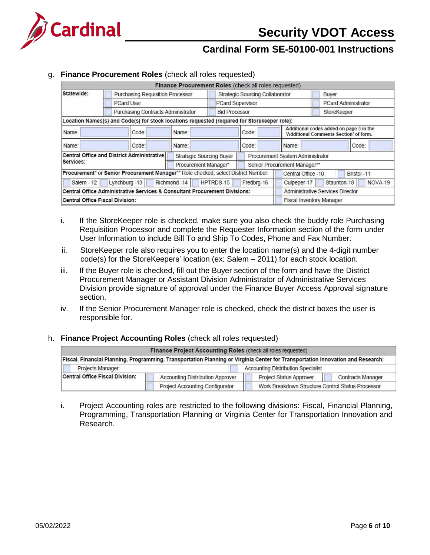

#### g. **Finance Procurement Roles** (check all roles requested)

|                                                                            |                                                                                              | Finance Procurement Roles (check all roles requested) |                         |                                        |                                              |                                                                                   |
|----------------------------------------------------------------------------|----------------------------------------------------------------------------------------------|-------------------------------------------------------|-------------------------|----------------------------------------|----------------------------------------------|-----------------------------------------------------------------------------------|
| Statewide:                                                                 | <b>Purchasing Requisition Processor</b>                                                      |                                                       |                         | <b>Strategic Sourcing Collaborator</b> | Buyer                                        |                                                                                   |
|                                                                            | <b>PCard User</b>                                                                            |                                                       | <b>PCard Supervisor</b> |                                        | <b>PCard Administrator</b>                   |                                                                                   |
|                                                                            | Purchasing Contracts Administrator                                                           |                                                       |                         | <b>Bid Processor</b>                   |                                              | StoreKeeper                                                                       |
|                                                                            | Location Names(s) and Code(s) for stock locations requested (required for Storekeeper role): |                                                       |                         |                                        |                                              |                                                                                   |
| Name:                                                                      | Code:                                                                                        | Name:                                                 |                         | Code:                                  |                                              | Additional codes added on page 3 in the<br>'Additional Comments Section' of form. |
| Name:                                                                      | Code:                                                                                        | Name:                                                 |                         | Code:                                  | Name:                                        | Code:                                                                             |
|                                                                            | <b>Central Office and District Administrative</b>                                            | <b>Strategic Sourcing Buyer</b>                       |                         |                                        | Procurement System Administrator             |                                                                                   |
| Services:<br>Procurement Manager*                                          |                                                                                              |                                                       |                         | Senior Procurement Manager**           |                                              |                                                                                   |
|                                                                            | Procurement* or Senior Procurement Manager** Role checked, select District Number:           |                                                       |                         |                                        | Central Office -10                           | Bristol -11                                                                       |
| HPTRDS-15<br>Lynchburg -13<br>Richmond -14<br>Salem - 12                   |                                                                                              |                                                       |                         | Fredbrg-16                             | <b>NOVA-19</b><br>Staunton-18<br>Culpeper-17 |                                                                                   |
| Central Office Administrative Services & Consultant Procurement Divisions: |                                                                                              |                                                       |                         |                                        | <b>Administrative Services Director</b>      |                                                                                   |
| <b>Central Office Fiscal Division:</b>                                     |                                                                                              |                                                       |                         |                                        |                                              | <b>Fiscal Inventory Manager</b>                                                   |

- i. If the StoreKeeper role is checked, make sure you also check the buddy role Purchasing Requisition Processor and complete the Requester Information section of the form under User Information to include Bill To and Ship To Codes, Phone and Fax Number.
- ii. StoreKeeper role also requires you to enter the location name(s) and the 4-digit number code(s) for the StoreKeepers' location (ex: Salem – 2011) for each stock location.
- iii. If the Buyer role is checked, fill out the Buyer section of the form and have the District Procurement Manager or Assistant Division Administrator of Administrative Services Division provide signature of approval under the Finance Buyer Access Approval signature section.
- iv. If the Senior Procurement Manager role is checked, check the district boxes the user is responsible for.

#### h. **Finance Project Accounting Roles** (check all roles requested)

| Finance Project Accounting Roles (check all roles requested)                      |                                 |  |                                                                                                                                 |  |
|-----------------------------------------------------------------------------------|---------------------------------|--|---------------------------------------------------------------------------------------------------------------------------------|--|
|                                                                                   |                                 |  | Fiscal, Financial Planning, Programming, Transportation Planning or Virginia Center for Transportation Innovation and Research: |  |
| <b>Projects Manager</b>                                                           |                                 |  | <b>Accounting Distribution Specialist</b>                                                                                       |  |
| <b>Central Office Fiscal Division:</b><br><b>Accounting Distribution Approver</b> |                                 |  | <b>Project Status Approver</b><br><b>Contracts Manager</b>                                                                      |  |
|                                                                                   | Project Accounting Configurator |  | Work Breakdown Structure Control Status Processor                                                                               |  |

i. Project Accounting roles are restricted to the following divisions: Fiscal, Financial Planning, Programming, Transportation Planning or Virginia Center for Transportation Innovation and Research.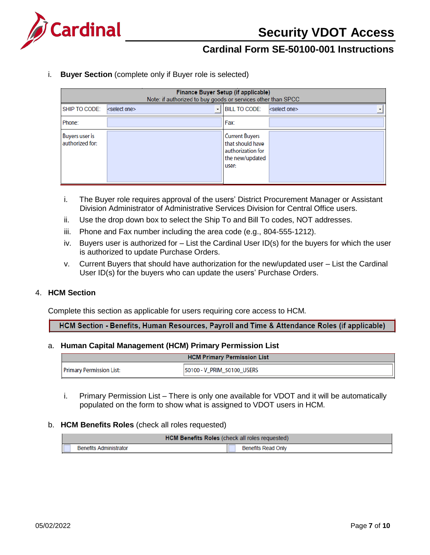

i. **Buyer Section** (complete only if Buyer role is selected)

|                                   | Finance Buyer Setup (if applicable)<br>Note: if authorized to buy goods or services other than SPCC |                                                                                            |                          |  |  |  |
|-----------------------------------|-----------------------------------------------------------------------------------------------------|--------------------------------------------------------------------------------------------|--------------------------|--|--|--|
| SHIP TO CODE:                     | <select one=""></select>                                                                            | <b>BILL TO CODE:</b>                                                                       | <select one=""></select> |  |  |  |
| Phone:                            |                                                                                                     | Fax:                                                                                       |                          |  |  |  |
| Buyers user is<br>authorized for: |                                                                                                     | <b>Current Buyers</b><br>that should have<br>authorization for<br>the new/updated<br>user: |                          |  |  |  |

- i. The Buyer role requires approval of the users' District Procurement Manager or Assistant Division Administrator of Administrative Services Division for Central Office users.
- ii. Use the drop down box to select the Ship To and Bill To codes, NOT addresses.
- iii. Phone and Fax number including the area code (e.g., 804-555-1212).
- iv. Buyers user is authorized for List the Cardinal User ID(s) for the buyers for which the user is authorized to update Purchase Orders.
- v. Current Buyers that should have authorization for the new/updated user List the Cardinal User ID(s) for the buyers who can update the users' Purchase Orders.

#### 4. **HCM Section**

Complete this section as applicable for users requiring core access to HCM.

HCM Section - Benefits, Human Resources, Payroll and Time & Attendance Roles (if applicable)

#### a. **Human Capital Management (HCM) Primary Permission List**

| <b>HCM Primary Permission List</b> |                            |  |
|------------------------------------|----------------------------|--|
| <b>Primary Permission List:</b>    | 50100 - V PRIM 50100 USERS |  |

i. Primary Permission List – There is only one available for VDOT and it will be automatically populated on the form to show what is assigned to VDOT users in HCM.

#### b. **HCM Benefits Roles** (check all roles requested)

| <b>HCM Benefits Roles (check all roles requested)</b> |                    |  |  |
|-------------------------------------------------------|--------------------|--|--|
| <b>Benefits Administrator</b>                         | Benefits Read Only |  |  |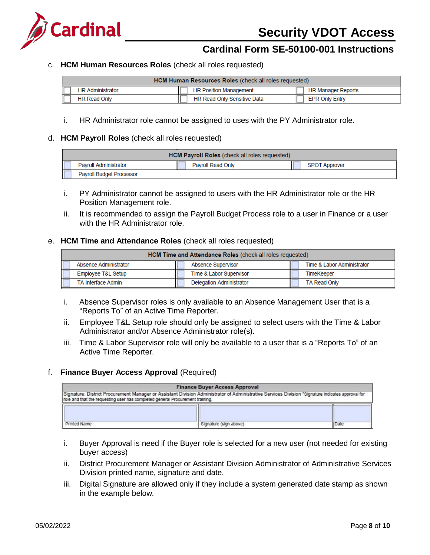

c. **HCM Human Resources Roles** (check all roles requested)

| <b>HCM Human Resources Roles (check all roles requested)</b> |                                    |                       |  |
|--------------------------------------------------------------|------------------------------------|-----------------------|--|
| <b>HR Administrator</b>                                      | <b>HR Position Management</b>      | HR Manager Reports    |  |
| <b>HR Read Only</b>                                          | <b>HR Read Only Sensitive Data</b> | <b>EPR Only Entry</b> |  |

i. HR Administrator role cannot be assigned to uses with the PY Administrator role.

#### d. **HCM Payroll Roles** (check all roles requested)

| <b>HCM Payroll Roles</b> (check all roles requested) |                   |                      |  |
|------------------------------------------------------|-------------------|----------------------|--|
| <b>Pavroll Administrator</b>                         | Payroll Read Only | <b>SPOT Approver</b> |  |
| Payroll Budget Processor                             |                   |                      |  |

- i. PY Administrator cannot be assigned to users with the HR Administrator role or the HR Position Management role.
- ii. It is recommended to assign the Payroll Budget Process role to a user in Finance or a user with the HR Administrator role.

#### e. **HCM Time and Attendance Roles** (check all roles requested)

| HCM Time and Attendance Roles (check all roles requested) |                                 |                            |  |  |
|-----------------------------------------------------------|---------------------------------|----------------------------|--|--|
| Absence Administrator                                     | <b>Absence Supervisor</b>       | Time & Labor Administrator |  |  |
| Employee T&L Setup                                        | Time & Labor Supervisor         | <b>TimeKeeper</b>          |  |  |
| <b>TA Interface Admin</b>                                 | <b>Delegation Administrator</b> | <b>TA Read Only</b>        |  |  |

- i. Absence Supervisor roles is only available to an Absence Management User that is a "Reports To" of an Active Time Reporter.
- ii. Employee T&L Setup role should only be assigned to select users with the Time & Labor Administrator and/or Absence Administrator role(s).
- iii. Time & Labor Supervisor role will only be available to a user that is a "Reports To" of an Active Time Reporter.

#### f. **Finance Buyer Access Approval** (Required)

| <b>Finance Buyer Access Approval</b><br>Signature: District Procurement Manager or Assistant Division Administrator of Administrative Services Division "Signature Indicates approval for<br>role and that the requesting user has completed general Procurement training. |  |  |
|----------------------------------------------------------------------------------------------------------------------------------------------------------------------------------------------------------------------------------------------------------------------------|--|--|
|                                                                                                                                                                                                                                                                            |  |  |

- i. Buyer Approval is need if the Buyer role is selected for a new user (not needed for existing buyer access)
- ii. District Procurement Manager or Assistant Division Administrator of Administrative Services Division printed name, signature and date.
- iii. Digital Signature are allowed only if they include a system generated date stamp as shown in the example below.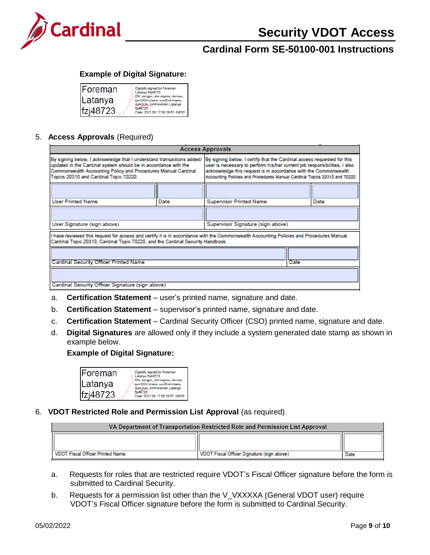

### **Example of Digital Signature:**

| ⊪oreman  | Digitally signed by Foreman<br>Latanya fzj48723                                               |
|----------|-----------------------------------------------------------------------------------------------|
| Latanya  | DN: dc=gov, dc=virginia, dc=cov,<br>ou=COV-Users, ou=End-Users,<br>ou=DOA, cn=Foreman Latanya |
| fzj48723 | fzj48723<br>Date: 2021.08.17 08:28:57 -04'00'                                                 |

### 5. **Access Approvals** (Required)

| <b>Access Approvals</b>                                                                                                                                                                                                                             |      |                                                                                                                                                                                                                                                                                                       |      |
|-----------------------------------------------------------------------------------------------------------------------------------------------------------------------------------------------------------------------------------------------------|------|-------------------------------------------------------------------------------------------------------------------------------------------------------------------------------------------------------------------------------------------------------------------------------------------------------|------|
| By signing below, I acknowledge that I understand transactions added/<br>updated in the Cardinal system should be in accordance with the<br>Commonwealth Accounting Policy and Procedures Manual Cardinal<br>Topics 20310 and Cardinal Topic 70220. |      | By signing below, I certify that the Cardinal access requested for this<br>user is necessary to perform his/her current job responsibilities. I also<br>acknowledge this request is in accordance with the Commonwealth<br>Accounting Policies and Procedures Manual Cardinal Topics 20310 and 70220. |      |
|                                                                                                                                                                                                                                                     |      |                                                                                                                                                                                                                                                                                                       |      |
| <b>User Printed Name</b>                                                                                                                                                                                                                            | Date | <b>Supervisor Printed Name</b>                                                                                                                                                                                                                                                                        | Date |
|                                                                                                                                                                                                                                                     |      |                                                                                                                                                                                                                                                                                                       |      |
| User Signature (sign above)                                                                                                                                                                                                                         |      | Supervisor Signature (sign above)                                                                                                                                                                                                                                                                     |      |
| I have reviewed this request for access and certify it is in accordance with the Commonwealth Accounting Policies and Procedures Manual<br>Cardinal Topic 20310, Cardinal Topic 70220, and the Cardinal Security Handbook.                          |      |                                                                                                                                                                                                                                                                                                       |      |
|                                                                                                                                                                                                                                                     |      |                                                                                                                                                                                                                                                                                                       |      |
| <b>Cardinal Security Officer Printed Name</b>                                                                                                                                                                                                       |      |                                                                                                                                                                                                                                                                                                       | Date |
|                                                                                                                                                                                                                                                     |      |                                                                                                                                                                                                                                                                                                       |      |
| Cardinal Security Officer Signature (sign above)                                                                                                                                                                                                    |      |                                                                                                                                                                                                                                                                                                       |      |

- a. **Certification Statement** user's printed name, signature and date.
- b. **Certification Statement** supervisor's printed name, signature and date.
- c. **Certification Statement** Cardinal Security Officer (CSO) printed name, signature and date.
- d. **Digital Signatures** are allowed only if they include a system generated date stamp as shown in example below.

#### **Example of Digital Signature:**

| ⊪oreman         | Digitally signed by Foreman<br>Latanya fzj48723                                               |
|-----------------|-----------------------------------------------------------------------------------------------|
| Latanya         | DN: de=gov, de=virginia, de=cov,<br>ou=COV-Users, ou=End-Users,<br>ou=DOA, cn=Foreman Latanya |
| $ f$ zj $48723$ | fzj48723<br>Date: 2021.08.17 08:28:57 -04'00'                                                 |

#### 6. **VDOT Restricted Role and Permission List Approval** (as required)

| VA Department of Transportation Restricted Role and Permission List Approval |                                            |      |  |
|------------------------------------------------------------------------------|--------------------------------------------|------|--|
|                                                                              |                                            |      |  |
| VDOT Fiscal Officer Printed Name                                             | VDOT Fiscal Officer Signature (sign above) | Date |  |

- a. Requests for roles that are restricted require VDOT's Fiscal Officer signature before the form is submitted to Cardinal Security.
- b. Requests for a permission list other than the V\_VXXXXA (General VDOT user) require VDOT's Fiscal Officer signature before the form is submitted to Cardinal Security.